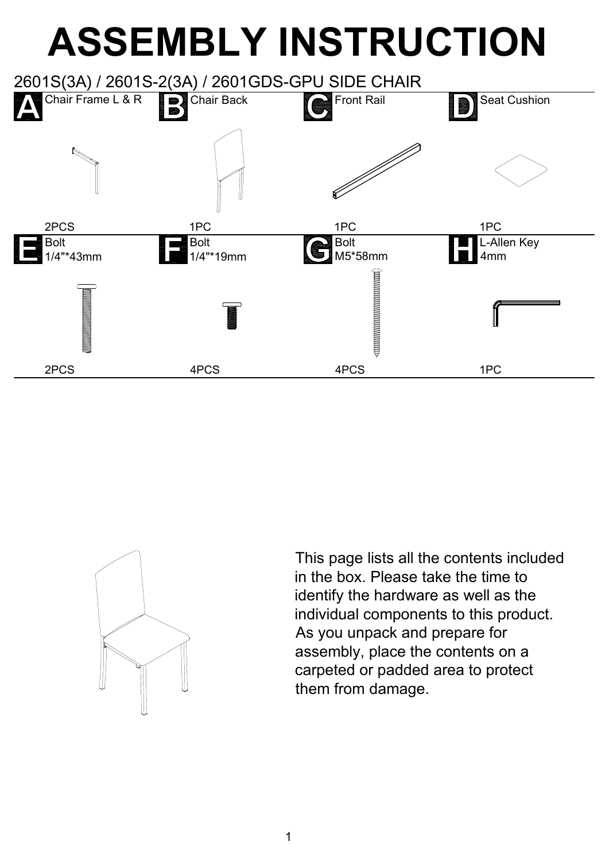## **ASSEMBLY INSTRUCTION**



This page lists all the contents included in the box. Please take the time to identify the hardware as well as the individual components to this product. As you unpack and prepare for assembly, place the contents on a carpeted or padded area to protect them from damage.